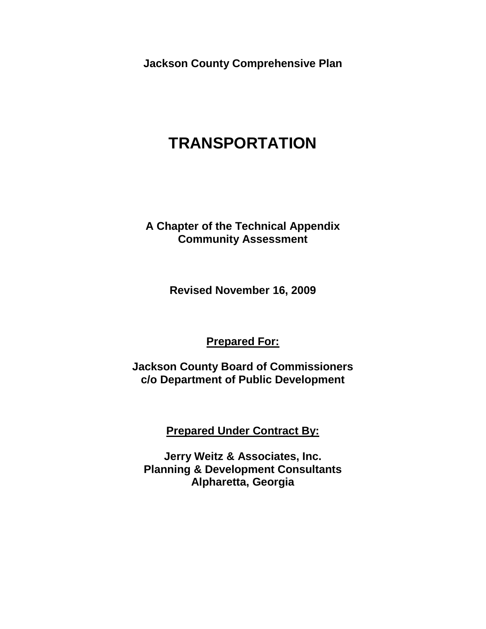**Jackson County Comprehensive Plan**

# **TRANSPORTATION**

**A Chapter of the Technical Appendix Community Assessment** 

**Revised November 16, 2009**

**Prepared For:**

**Jackson County Board of Commissioners c/o Department of Public Development**

**Prepared Under Contract By:**

**Jerry Weitz & Associates, Inc. Planning & Development Consultants Alpharetta, Georgia**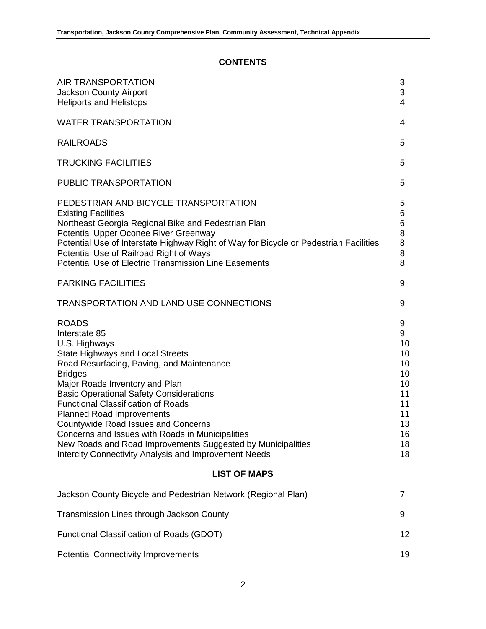# **CONTENTS**

| <b>AIR TRANSPORTATION</b><br><b>Jackson County Airport</b><br><b>Heliports and Helistops</b>                                                                                                                                                                                                                                                                                                                                                                                                                                                            | 3<br>3<br>$\overline{4}$                                                       |
|---------------------------------------------------------------------------------------------------------------------------------------------------------------------------------------------------------------------------------------------------------------------------------------------------------------------------------------------------------------------------------------------------------------------------------------------------------------------------------------------------------------------------------------------------------|--------------------------------------------------------------------------------|
| <b>WATER TRANSPORTATION</b>                                                                                                                                                                                                                                                                                                                                                                                                                                                                                                                             | 4                                                                              |
| <b>RAILROADS</b>                                                                                                                                                                                                                                                                                                                                                                                                                                                                                                                                        | 5                                                                              |
| <b>TRUCKING FACILITIES</b>                                                                                                                                                                                                                                                                                                                                                                                                                                                                                                                              | 5                                                                              |
| <b>PUBLIC TRANSPORTATION</b>                                                                                                                                                                                                                                                                                                                                                                                                                                                                                                                            | 5                                                                              |
| PEDESTRIAN AND BICYCLE TRANSPORTATION<br><b>Existing Facilities</b><br>Northeast Georgia Regional Bike and Pedestrian Plan<br>Potential Upper Oconee River Greenway<br>Potential Use of Interstate Highway Right of Way for Bicycle or Pedestrian Facilities<br>Potential Use of Railroad Right of Ways<br><b>Potential Use of Electric Transmission Line Easements</b>                                                                                                                                                                                 | 5<br>6<br>6<br>8<br>8<br>8<br>8                                                |
| <b>PARKING FACILITIES</b>                                                                                                                                                                                                                                                                                                                                                                                                                                                                                                                               | 9                                                                              |
| <b>TRANSPORTATION AND LAND USE CONNECTIONS</b>                                                                                                                                                                                                                                                                                                                                                                                                                                                                                                          | 9                                                                              |
| <b>ROADS</b><br>Interstate 85<br>U.S. Highways<br><b>State Highways and Local Streets</b><br>Road Resurfacing, Paving, and Maintenance<br><b>Bridges</b><br>Major Roads Inventory and Plan<br><b>Basic Operational Safety Considerations</b><br><b>Functional Classification of Roads</b><br><b>Planned Road Improvements</b><br>Countywide Road Issues and Concerns<br>Concerns and Issues with Roads in Municipalities<br>New Roads and Road Improvements Suggested by Municipalities<br><b>Intercity Connectivity Analysis and Improvement Needs</b> | 9<br>9<br>10<br>10<br>10<br>10<br>10<br>11<br>11<br>11<br>13<br>16<br>18<br>18 |
| <b>LIST OF MAPS</b>                                                                                                                                                                                                                                                                                                                                                                                                                                                                                                                                     |                                                                                |
| Jackson County Bicycle and Pedestrian Network (Regional Plan)                                                                                                                                                                                                                                                                                                                                                                                                                                                                                           | $\overline{7}$                                                                 |
| Transmission Lines through Jackson County                                                                                                                                                                                                                                                                                                                                                                                                                                                                                                               | 9                                                                              |
| Functional Classification of Roads (GDOT)                                                                                                                                                                                                                                                                                                                                                                                                                                                                                                               | 12                                                                             |
| <b>Potential Connectivity Improvements</b>                                                                                                                                                                                                                                                                                                                                                                                                                                                                                                              | 19                                                                             |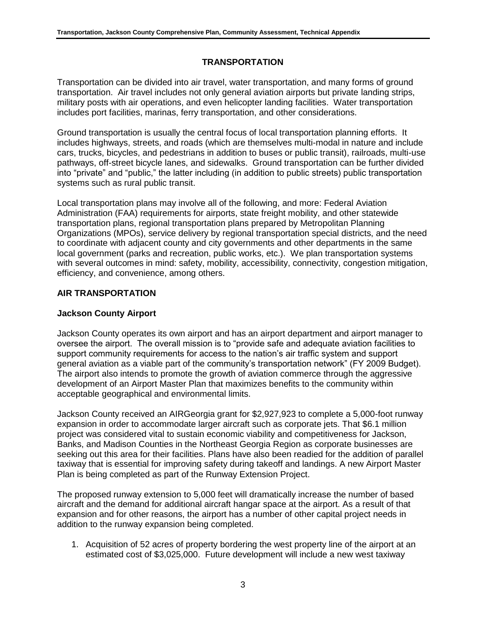# **TRANSPORTATION**

Transportation can be divided into air travel, water transportation, and many forms of ground transportation. Air travel includes not only general aviation airports but private landing strips, military posts with air operations, and even helicopter landing facilities. Water transportation includes port facilities, marinas, ferry transportation, and other considerations.

Ground transportation is usually the central focus of local transportation planning efforts. It includes highways, streets, and roads (which are themselves multi-modal in nature and include cars, trucks, bicycles, and pedestrians in addition to buses or public transit), railroads, multi-use pathways, off-street bicycle lanes, and sidewalks. Ground transportation can be further divided into "private" and "public," the latter including (in addition to public streets) public transportation systems such as rural public transit.

Local transportation plans may involve all of the following, and more: Federal Aviation Administration (FAA) requirements for airports, state freight mobility, and other statewide transportation plans, regional transportation plans prepared by Metropolitan Planning Organizations (MPOs), service delivery by regional transportation special districts, and the need to coordinate with adjacent county and city governments and other departments in the same local government (parks and recreation, public works, etc.). We plan transportation systems with several outcomes in mind: safety, mobility, accessibility, connectivity, congestion mitigation, efficiency, and convenience, among others.

## **AIR TRANSPORTATION**

# **Jackson County Airport**

Jackson County operates its own airport and has an airport department and airport manager to oversee the airport. The overall mission is to "provide safe and adequate aviation facilities to support community requirements for access to the nation's air traffic system and support general aviation as a viable part of the community's transportation network" (FY 2009 Budget). The airport also intends to promote the growth of aviation commerce through the aggressive development of an Airport Master Plan that maximizes benefits to the community within acceptable geographical and environmental limits.

Jackson County received an AIRGeorgia grant for \$2,927,923 to complete a 5,000-foot runway expansion in order to accommodate larger aircraft such as corporate jets. That \$6.1 million project was considered vital to sustain economic viability and competitiveness for Jackson, Banks, and Madison Counties in the Northeast Georgia Region as corporate businesses are seeking out this area for their facilities. Plans have also been readied for the addition of parallel taxiway that is essential for improving safety during takeoff and landings. A new Airport Master Plan is being completed as part of the Runway Extension Project.

The proposed runway extension to 5,000 feet will dramatically increase the number of based aircraft and the demand for additional aircraft hangar space at the airport. As a result of that expansion and for other reasons, the airport has a number of other capital project needs in addition to the runway expansion being completed.

1. Acquisition of 52 acres of property bordering the west property line of the airport at an estimated cost of \$3,025,000. Future development will include a new west taxiway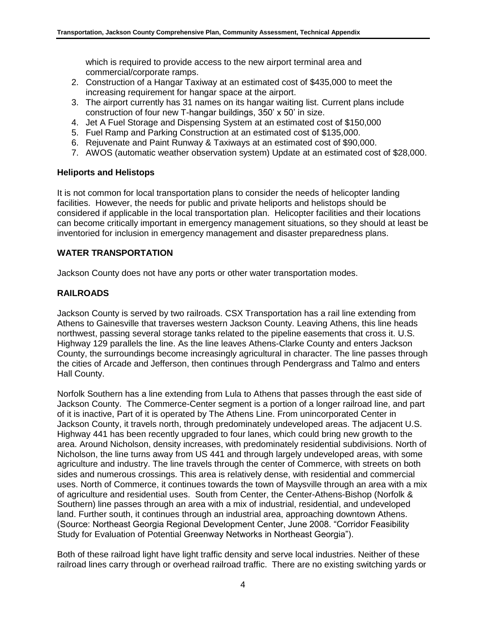which is required to provide access to the new airport terminal area and commercial/corporate ramps.

- 2. Construction of a Hangar Taxiway at an estimated cost of \$435,000 to meet the increasing requirement for hangar space at the airport.
- 3. The airport currently has 31 names on its hangar waiting list. Current plans include construction of four new T-hangar buildings, 350' x 50' in size.
- 4. Jet A Fuel Storage and Dispensing System at an estimated cost of \$150,000
- 5. Fuel Ramp and Parking Construction at an estimated cost of \$135,000.
- 6. Rejuvenate and Paint Runway & Taxiways at an estimated cost of \$90,000.
- 7. AWOS (automatic weather observation system) Update at an estimated cost of \$28,000.

## **Heliports and Helistops**

It is not common for local transportation plans to consider the needs of helicopter landing facilities. However, the needs for public and private heliports and helistops should be considered if applicable in the local transportation plan. Helicopter facilities and their locations can become critically important in emergency management situations, so they should at least be inventoried for inclusion in emergency management and disaster preparedness plans.

# **WATER TRANSPORTATION**

Jackson County does not have any ports or other water transportation modes.

# **RAILROADS**

Jackson County is served by two railroads. CSX Transportation has a rail line extending from Athens to Gainesville that traverses western Jackson County. Leaving Athens, this line heads northwest, passing several storage tanks related to the pipeline easements that cross it. U.S. Highway 129 parallels the line. As the line leaves Athens-Clarke County and enters Jackson County, the surroundings become increasingly agricultural in character. The line passes through the cities of Arcade and Jefferson, then continues through Pendergrass and Talmo and enters Hall County.

Norfolk Southern has a line extending from Lula to Athens that passes through the east side of Jackson County. The Commerce-Center segment is a portion of a longer railroad line, and part of it is inactive, Part of it is operated by The Athens Line. From unincorporated Center in Jackson County, it travels north, through predominately undeveloped areas. The adjacent U.S. Highway 441 has been recently upgraded to four lanes, which could bring new growth to the area. Around Nicholson, density increases, with predominately residential subdivisions. North of Nicholson, the line turns away from US 441 and through largely undeveloped areas, with some agriculture and industry. The line travels through the center of Commerce, with streets on both sides and numerous crossings. This area is relatively dense, with residential and commercial uses. North of Commerce, it continues towards the town of Maysville through an area with a mix of agriculture and residential uses. South from Center, the Center-Athens-Bishop (Norfolk & Southern) line passes through an area with a mix of industrial, residential, and undeveloped land. Further south, it continues through an industrial area, approaching downtown Athens. (Source: Northeast Georgia Regional Development Center, June 2008. "Corridor Feasibility Study for Evaluation of Potential Greenway Networks in Northeast Georgia").

Both of these railroad light have light traffic density and serve local industries. Neither of these railroad lines carry through or overhead railroad traffic. There are no existing switching yards or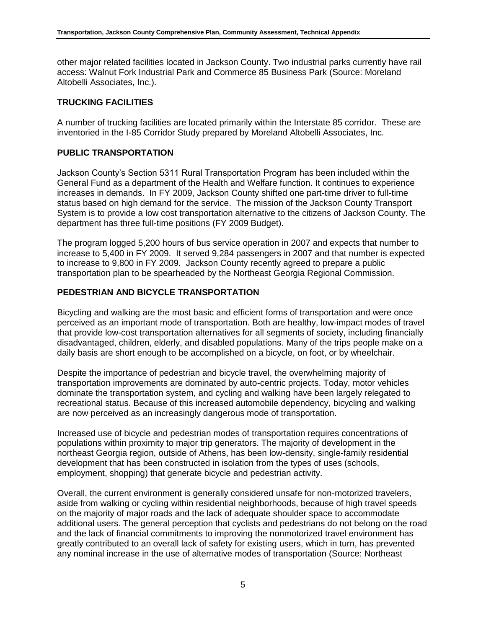other major related facilities located in Jackson County. Two industrial parks currently have rail access: Walnut Fork Industrial Park and Commerce 85 Business Park (Source: Moreland Altobelli Associates, Inc.).

# **TRUCKING FACILITIES**

A number of trucking facilities are located primarily within the Interstate 85 corridor. These are inventoried in the I-85 Corridor Study prepared by Moreland Altobelli Associates, Inc.

# **PUBLIC TRANSPORTATION**

Jackson County's Section 5311 Rural Transportation Program has been included within the General Fund as a department of the Health and Welfare function. It continues to experience increases in demands. In FY 2009, Jackson County shifted one part-time driver to full-time status based on high demand for the service. The mission of the Jackson County Transport System is to provide a low cost transportation alternative to the citizens of Jackson County. The department has three full-time positions (FY 2009 Budget).

The program logged 5,200 hours of bus service operation in 2007 and expects that number to increase to 5,400 in FY 2009. It served 9,284 passengers in 2007 and that number is expected to increase to 9,800 in FY 2009. Jackson County recently agreed to prepare a public transportation plan to be spearheaded by the Northeast Georgia Regional Commission.

## **PEDESTRIAN AND BICYCLE TRANSPORTATION**

Bicycling and walking are the most basic and efficient forms of transportation and were once perceived as an important mode of transportation. Both are healthy, low-impact modes of travel that provide low-cost transportation alternatives for all segments of society, including financially disadvantaged, children, elderly, and disabled populations. Many of the trips people make on a daily basis are short enough to be accomplished on a bicycle, on foot, or by wheelchair.

Despite the importance of pedestrian and bicycle travel, the overwhelming majority of transportation improvements are dominated by auto-centric projects. Today, motor vehicles dominate the transportation system, and cycling and walking have been largely relegated to recreational status. Because of this increased automobile dependency, bicycling and walking are now perceived as an increasingly dangerous mode of transportation.

Increased use of bicycle and pedestrian modes of transportation requires concentrations of populations within proximity to major trip generators. The majority of development in the northeast Georgia region, outside of Athens, has been low-density, single-family residential development that has been constructed in isolation from the types of uses (schools, employment, shopping) that generate bicycle and pedestrian activity.

Overall, the current environment is generally considered unsafe for non-motorized travelers, aside from walking or cycling within residential neighborhoods, because of high travel speeds on the majority of major roads and the lack of adequate shoulder space to accommodate additional users. The general perception that cyclists and pedestrians do not belong on the road and the lack of financial commitments to improving the nonmotorized travel environment has greatly contributed to an overall lack of safety for existing users, which in turn, has prevented any nominal increase in the use of alternative modes of transportation (Source: Northeast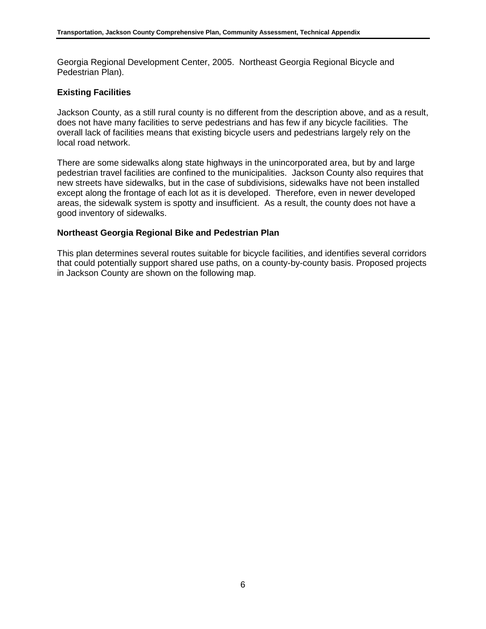Georgia Regional Development Center, 2005. Northeast Georgia Regional Bicycle and Pedestrian Plan).

#### **Existing Facilities**

Jackson County, as a still rural county is no different from the description above, and as a result, does not have many facilities to serve pedestrians and has few if any bicycle facilities. The overall lack of facilities means that existing bicycle users and pedestrians largely rely on the local road network.

There are some sidewalks along state highways in the unincorporated area, but by and large pedestrian travel facilities are confined to the municipalities. Jackson County also requires that new streets have sidewalks, but in the case of subdivisions, sidewalks have not been installed except along the frontage of each lot as it is developed. Therefore, even in newer developed areas, the sidewalk system is spotty and insufficient. As a result, the county does not have a good inventory of sidewalks.

#### **Northeast Georgia Regional Bike and Pedestrian Plan**

This plan determines several routes suitable for bicycle facilities, and identifies several corridors that could potentially support shared use paths, on a county-by-county basis. Proposed projects in Jackson County are shown on the following map.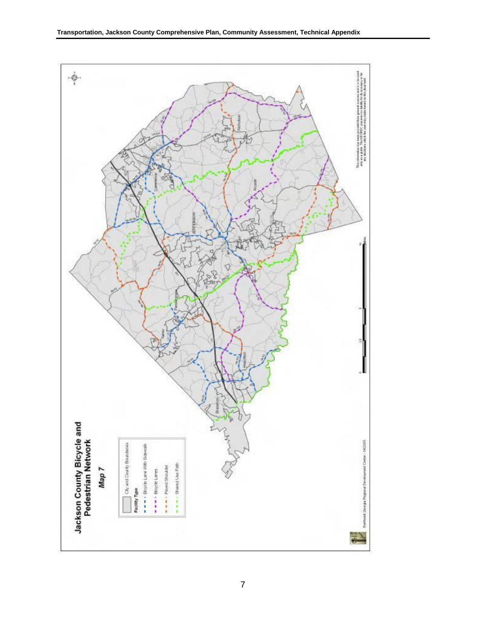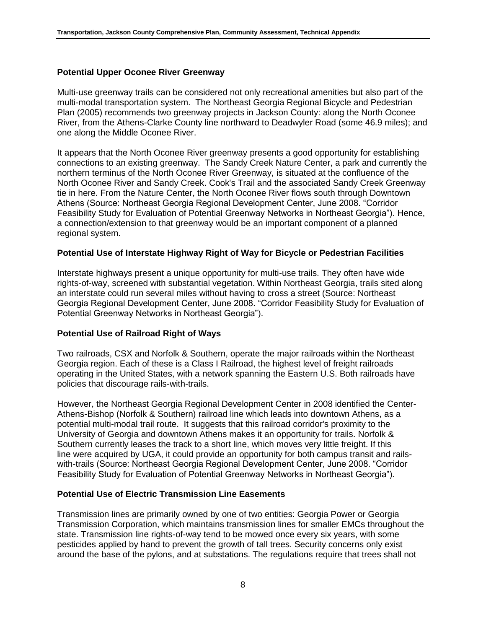#### **Potential Upper Oconee River Greenway**

Multi-use greenway trails can be considered not only recreational amenities but also part of the multi-modal transportation system. The Northeast Georgia Regional Bicycle and Pedestrian Plan (2005) recommends two greenway projects in Jackson County: along the North Oconee River, from the Athens-Clarke County line northward to Deadwyler Road (some 46.9 miles); and one along the Middle Oconee River.

It appears that the North Oconee River greenway presents a good opportunity for establishing connections to an existing greenway. The Sandy Creek Nature Center, a park and currently the northern terminus of the North Oconee River Greenway, is situated at the confluence of the North Oconee River and Sandy Creek. Cook's Trail and the associated Sandy Creek Greenway tie in here. From the Nature Center, the North Oconee River flows south through Downtown Athens (Source: Northeast Georgia Regional Development Center, June 2008. "Corridor Feasibility Study for Evaluation of Potential Greenway Networks in Northeast Georgia"). Hence, a connection/extension to that greenway would be an important component of a planned regional system.

#### **Potential Use of Interstate Highway Right of Way for Bicycle or Pedestrian Facilities**

Interstate highways present a unique opportunity for multi-use trails. They often have wide rights-of-way, screened with substantial vegetation. Within Northeast Georgia, trails sited along an interstate could run several miles without having to cross a street (Source: Northeast Georgia Regional Development Center, June 2008. "Corridor Feasibility Study for Evaluation of Potential Greenway Networks in Northeast Georgia").

#### **Potential Use of Railroad Right of Ways**

Two railroads, CSX and Norfolk & Southern, operate the major railroads within the Northeast Georgia region. Each of these is a Class I Railroad, the highest level of freight railroads operating in the United States, with a network spanning the Eastern U.S. Both railroads have policies that discourage rails-with-trails.

However, the Northeast Georgia Regional Development Center in 2008 identified the Center-Athens-Bishop (Norfolk & Southern) railroad line which leads into downtown Athens, as a potential multi-modal trail route. It suggests that this railroad corridor's proximity to the University of Georgia and downtown Athens makes it an opportunity for trails. Norfolk & Southern currently leases the track to a short line, which moves very little freight. If this line were acquired by UGA, it could provide an opportunity for both campus transit and railswith-trails (Source: Northeast Georgia Regional Development Center, June 2008. "Corridor Feasibility Study for Evaluation of Potential Greenway Networks in Northeast Georgia").

#### **Potential Use of Electric Transmission Line Easements**

Transmission lines are primarily owned by one of two entities: Georgia Power or Georgia Transmission Corporation, which maintains transmission lines for smaller EMCs throughout the state. Transmission line rights-of-way tend to be mowed once every six years, with some pesticides applied by hand to prevent the growth of tall trees. Security concerns only exist around the base of the pylons, and at substations. The regulations require that trees shall not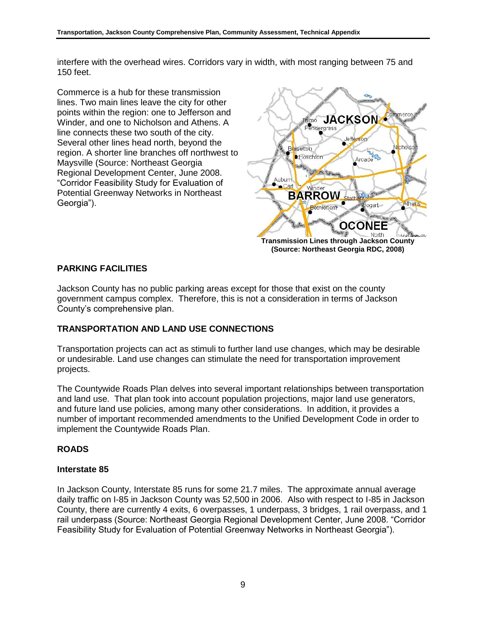interfere with the overhead wires. Corridors vary in width, with most ranging between 75 and 150 feet.

Commerce is a hub for these transmission lines. Two main lines leave the city for other points within the region: one to Jefferson and Winder, and one to Nicholson and Athens. A line connects these two south of the city. Several other lines head north, beyond the region. A shorter line branches off northwest to Maysville (Source: Northeast Georgia Regional Development Center, June 2008. "Corridor Feasibility Study for Evaluation of Potential Greenway Networks in Northeast Georgia").



# **PARKING FACILITIES**

Jackson County has no public parking areas except for those that exist on the county government campus complex. Therefore, this is not a consideration in terms of Jackson County's comprehensive plan.

## **TRANSPORTATION AND LAND USE CONNECTIONS**

Transportation projects can act as stimuli to further land use changes, which may be desirable or undesirable. Land use changes can stimulate the need for transportation improvement projects.

The Countywide Roads Plan delves into several important relationships between transportation and land use. That plan took into account population projections, major land use generators, and future land use policies, among many other considerations. In addition, it provides a number of important recommended amendments to the Unified Development Code in order to implement the Countywide Roads Plan.

## **ROADS**

#### **Interstate 85**

In Jackson County, Interstate 85 runs for some 21.7 miles. The approximate annual average daily traffic on I-85 in Jackson County was 52,500 in 2006. Also with respect to I-85 in Jackson County, there are currently 4 exits, 6 overpasses, 1 underpass, 3 bridges, 1 rail overpass, and 1 rail underpass (Source: Northeast Georgia Regional Development Center, June 2008. "Corridor Feasibility Study for Evaluation of Potential Greenway Networks in Northeast Georgia").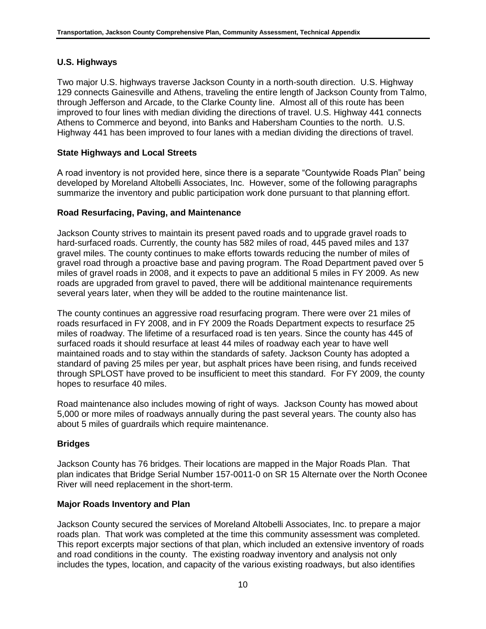# **U.S. Highways**

Two major U.S. highways traverse Jackson County in a north-south direction. U.S. Highway 129 connects Gainesville and Athens, traveling the entire length of Jackson County from Talmo, through Jefferson and Arcade, to the Clarke County line. Almost all of this route has been improved to four lines with median dividing the directions of travel. U.S. Highway 441 connects Athens to Commerce and beyond, into Banks and Habersham Counties to the north. U.S. Highway 441 has been improved to four lanes with a median dividing the directions of travel.

## **State Highways and Local Streets**

A road inventory is not provided here, since there is a separate "Countywide Roads Plan" being developed by Moreland Altobelli Associates, Inc. However, some of the following paragraphs summarize the inventory and public participation work done pursuant to that planning effort.

## **Road Resurfacing, Paving, and Maintenance**

Jackson County strives to maintain its present paved roads and to upgrade gravel roads to hard-surfaced roads. Currently, the county has 582 miles of road, 445 paved miles and 137 gravel miles. The county continues to make efforts towards reducing the number of miles of gravel road through a proactive base and paving program. The Road Department paved over 5 miles of gravel roads in 2008, and it expects to pave an additional 5 miles in FY 2009. As new roads are upgraded from gravel to paved, there will be additional maintenance requirements several years later, when they will be added to the routine maintenance list.

The county continues an aggressive road resurfacing program. There were over 21 miles of roads resurfaced in FY 2008, and in FY 2009 the Roads Department expects to resurface 25 miles of roadway. The lifetime of a resurfaced road is ten years. Since the county has 445 of surfaced roads it should resurface at least 44 miles of roadway each year to have well maintained roads and to stay within the standards of safety. Jackson County has adopted a standard of paving 25 miles per year, but asphalt prices have been rising, and funds received through SPLOST have proved to be insufficient to meet this standard. For FY 2009, the county hopes to resurface 40 miles.

Road maintenance also includes mowing of right of ways. Jackson County has mowed about 5,000 or more miles of roadways annually during the past several years. The county also has about 5 miles of guardrails which require maintenance.

## **Bridges**

Jackson County has 76 bridges. Their locations are mapped in the Major Roads Plan. That plan indicates that Bridge Serial Number 157-0011-0 on SR 15 Alternate over the North Oconee River will need replacement in the short-term.

## **Major Roads Inventory and Plan**

Jackson County secured the services of Moreland Altobelli Associates, Inc. to prepare a major roads plan. That work was completed at the time this community assessment was completed. This report excerpts major sections of that plan, which included an extensive inventory of roads and road conditions in the county. The existing roadway inventory and analysis not only includes the types, location, and capacity of the various existing roadways, but also identifies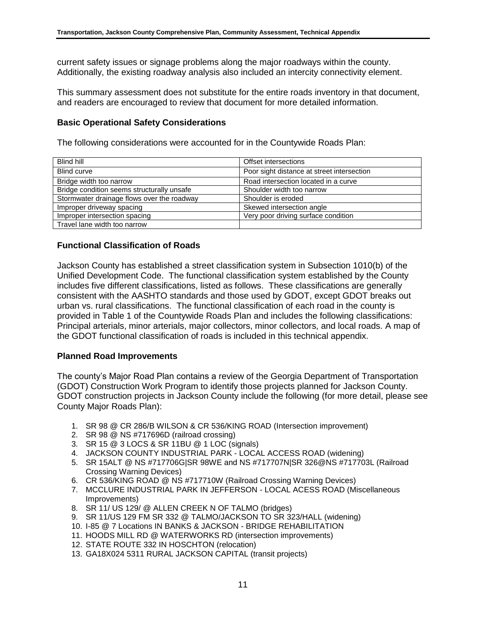current safety issues or signage problems along the major roadways within the county. Additionally, the existing roadway analysis also included an intercity connectivity element.

This summary assessment does not substitute for the entire roads inventory in that document, and readers are encouraged to review that document for more detailed information.

#### **Basic Operational Safety Considerations**

The following considerations were accounted for in the Countywide Roads Plan:

| Blind hill                                 | Offset intersections                       |
|--------------------------------------------|--------------------------------------------|
| <b>Blind curve</b>                         | Poor sight distance at street intersection |
| Bridge width too narrow                    | Road intersection located in a curve       |
| Bridge condition seems structurally unsafe | Shoulder width too narrow                  |
| Stormwater drainage flows over the roadway | Shoulder is eroded                         |
| Improper driveway spacing                  | Skewed intersection angle                  |
| Improper intersection spacing              | Very poor driving surface condition        |
| Travel lane width too narrow               |                                            |

#### **Functional Classification of Roads**

Jackson County has established a street classification system in Subsection 1010(b) of the Unified Development Code. The functional classification system established by the County includes five different classifications, listed as follows. These classifications are generally consistent with the AASHTO standards and those used by GDOT, except GDOT breaks out urban vs. rural classifications. The functional classification of each road in the county is provided in Table 1 of the Countywide Roads Plan and includes the following classifications: Principal arterials, minor arterials, major collectors, minor collectors, and local roads. A map of the GDOT functional classification of roads is included in this technical appendix.

#### **Planned Road Improvements**

The county's Major Road Plan contains a review of the Georgia Department of Transportation (GDOT) Construction Work Program to identify those projects planned for Jackson County. GDOT construction projects in Jackson County include the following (for more detail, please see County Major Roads Plan):

- 1. SR 98 @ CR 286/B WILSON & CR 536/KING ROAD (Intersection improvement)
- 2. SR 98 @ NS #717696D (railroad crossing)
- 3. SR 15 @ 3 LOCS & SR 11BU @ 1 LOC (signals)
- 4. JACKSON COUNTY INDUSTRIAL PARK LOCAL ACCESS ROAD (widening)
- 5. SR 15ALT @ NS #717706G|SR 98WE and NS #717707N|SR 326@NS #717703L (Railroad Crossing Warning Devices)
- 6. CR 536/KING ROAD @ NS #717710W (Railroad Crossing Warning Devices)
- 7. MCCLURE INDUSTRIAL PARK IN JEFFERSON LOCAL ACESS ROAD (Miscellaneous Improvements)
- 8. SR 11/ US 129/ @ ALLEN CREEK N OF TALMO (bridges)
- 9. SR 11/US 129 FM SR 332 @ TALMO/JACKSON TO SR 323/HALL (widening)
- 10. I-85 @ 7 Locations IN BANKS & JACKSON BRIDGE REHABILITATION
- 11. HOODS MILL RD @ WATERWORKS RD (intersection improvements)
- 12. STATE ROUTE 332 IN HOSCHTON (relocation)
- 13. GA18X024 5311 RURAL JACKSON CAPITAL (transit projects)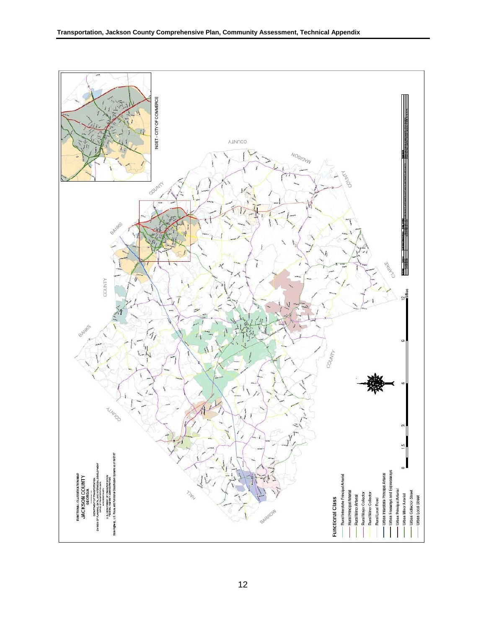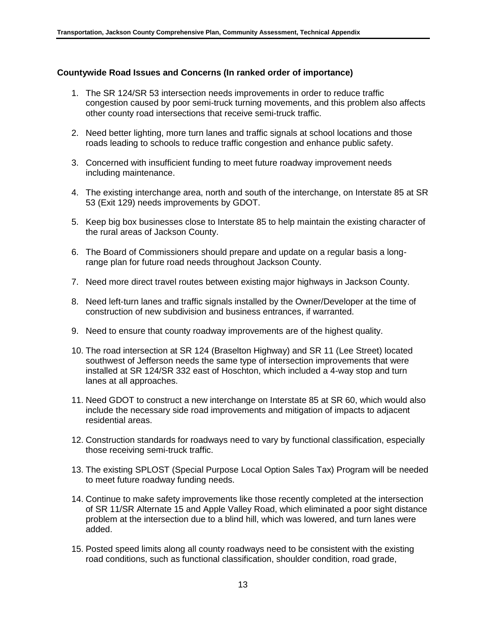#### **Countywide Road Issues and Concerns (In ranked order of importance)**

- 1. The SR 124/SR 53 intersection needs improvements in order to reduce traffic congestion caused by poor semi-truck turning movements, and this problem also affects other county road intersections that receive semi-truck traffic.
- 2. Need better lighting, more turn lanes and traffic signals at school locations and those roads leading to schools to reduce traffic congestion and enhance public safety.
- 3. Concerned with insufficient funding to meet future roadway improvement needs including maintenance.
- 4. The existing interchange area, north and south of the interchange, on Interstate 85 at SR 53 (Exit 129) needs improvements by GDOT.
- 5. Keep big box businesses close to Interstate 85 to help maintain the existing character of the rural areas of Jackson County.
- 6. The Board of Commissioners should prepare and update on a regular basis a longrange plan for future road needs throughout Jackson County.
- 7. Need more direct travel routes between existing major highways in Jackson County.
- 8. Need left-turn lanes and traffic signals installed by the Owner/Developer at the time of construction of new subdivision and business entrances, if warranted.
- 9. Need to ensure that county roadway improvements are of the highest quality.
- 10. The road intersection at SR 124 (Braselton Highway) and SR 11 (Lee Street) located southwest of Jefferson needs the same type of intersection improvements that were installed at SR 124/SR 332 east of Hoschton, which included a 4-way stop and turn lanes at all approaches.
- 11. Need GDOT to construct a new interchange on Interstate 85 at SR 60, which would also include the necessary side road improvements and mitigation of impacts to adjacent residential areas.
- 12. Construction standards for roadways need to vary by functional classification, especially those receiving semi-truck traffic.
- 13. The existing SPLOST (Special Purpose Local Option Sales Tax) Program will be needed to meet future roadway funding needs.
- 14. Continue to make safety improvements like those recently completed at the intersection of SR 11/SR Alternate 15 and Apple Valley Road, which eliminated a poor sight distance problem at the intersection due to a blind hill, which was lowered, and turn lanes were added.
- 15. Posted speed limits along all county roadways need to be consistent with the existing road conditions, such as functional classification, shoulder condition, road grade,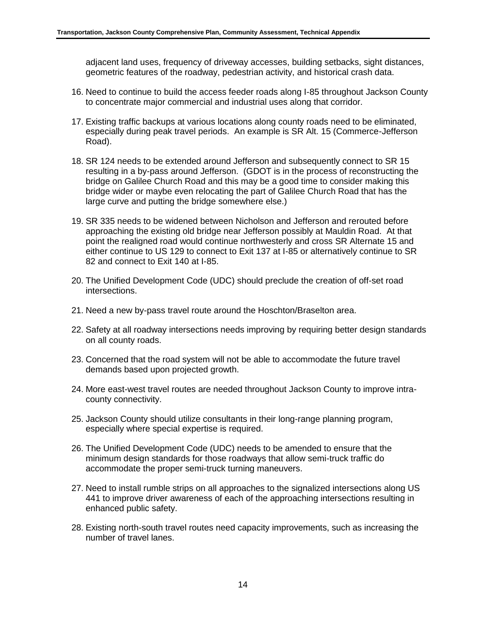adjacent land uses, frequency of driveway accesses, building setbacks, sight distances, geometric features of the roadway, pedestrian activity, and historical crash data.

- 16. Need to continue to build the access feeder roads along I-85 throughout Jackson County to concentrate major commercial and industrial uses along that corridor.
- 17. Existing traffic backups at various locations along county roads need to be eliminated, especially during peak travel periods. An example is SR Alt. 15 (Commerce-Jefferson Road).
- 18. SR 124 needs to be extended around Jefferson and subsequently connect to SR 15 resulting in a by-pass around Jefferson. (GDOT is in the process of reconstructing the bridge on Galilee Church Road and this may be a good time to consider making this bridge wider or maybe even relocating the part of Galilee Church Road that has the large curve and putting the bridge somewhere else.)
- 19. SR 335 needs to be widened between Nicholson and Jefferson and rerouted before approaching the existing old bridge near Jefferson possibly at Mauldin Road. At that point the realigned road would continue northwesterly and cross SR Alternate 15 and either continue to US 129 to connect to Exit 137 at I-85 or alternatively continue to SR 82 and connect to Exit 140 at I-85.
- 20. The Unified Development Code (UDC) should preclude the creation of off-set road intersections.
- 21. Need a new by-pass travel route around the Hoschton/Braselton area.
- 22. Safety at all roadway intersections needs improving by requiring better design standards on all county roads.
- 23. Concerned that the road system will not be able to accommodate the future travel demands based upon projected growth.
- 24. More east-west travel routes are needed throughout Jackson County to improve intracounty connectivity.
- 25. Jackson County should utilize consultants in their long-range planning program, especially where special expertise is required.
- 26. The Unified Development Code (UDC) needs to be amended to ensure that the minimum design standards for those roadways that allow semi-truck traffic do accommodate the proper semi-truck turning maneuvers.
- 27. Need to install rumble strips on all approaches to the signalized intersections along US 441 to improve driver awareness of each of the approaching intersections resulting in enhanced public safety.
- 28. Existing north-south travel routes need capacity improvements, such as increasing the number of travel lanes.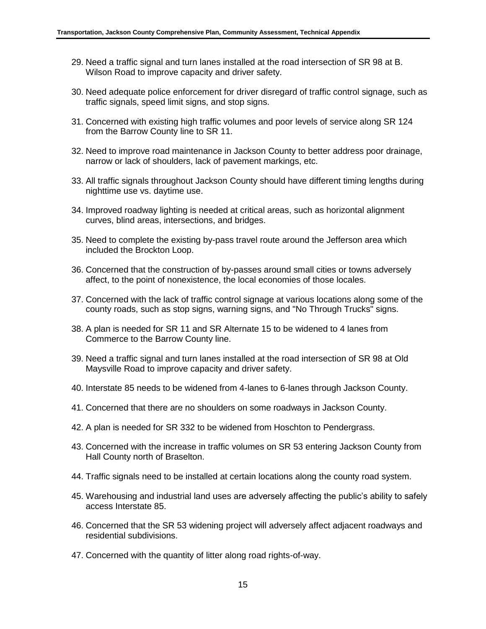- 29. Need a traffic signal and turn lanes installed at the road intersection of SR 98 at B. Wilson Road to improve capacity and driver safety.
- 30. Need adequate police enforcement for driver disregard of traffic control signage, such as traffic signals, speed limit signs, and stop signs.
- 31. Concerned with existing high traffic volumes and poor levels of service along SR 124 from the Barrow County line to SR 11.
- 32. Need to improve road maintenance in Jackson County to better address poor drainage, narrow or lack of shoulders, lack of pavement markings, etc.
- 33. All traffic signals throughout Jackson County should have different timing lengths during nighttime use vs. daytime use.
- 34. Improved roadway lighting is needed at critical areas, such as horizontal alignment curves, blind areas, intersections, and bridges.
- 35. Need to complete the existing by-pass travel route around the Jefferson area which included the Brockton Loop.
- 36. Concerned that the construction of by-passes around small cities or towns adversely affect, to the point of nonexistence, the local economies of those locales.
- 37. Concerned with the lack of traffic control signage at various locations along some of the county roads, such as stop signs, warning signs, and "No Through Trucks" signs.
- 38. A plan is needed for SR 11 and SR Alternate 15 to be widened to 4 lanes from Commerce to the Barrow County line.
- 39. Need a traffic signal and turn lanes installed at the road intersection of SR 98 at Old Maysville Road to improve capacity and driver safety.
- 40. Interstate 85 needs to be widened from 4-lanes to 6-lanes through Jackson County.
- 41. Concerned that there are no shoulders on some roadways in Jackson County.
- 42. A plan is needed for SR 332 to be widened from Hoschton to Pendergrass.
- 43. Concerned with the increase in traffic volumes on SR 53 entering Jackson County from Hall County north of Braselton.
- 44. Traffic signals need to be installed at certain locations along the county road system.
- 45. Warehousing and industrial land uses are adversely affecting the public's ability to safely access Interstate 85.
- 46. Concerned that the SR 53 widening project will adversely affect adjacent roadways and residential subdivisions.
- 47. Concerned with the quantity of litter along road rights-of-way.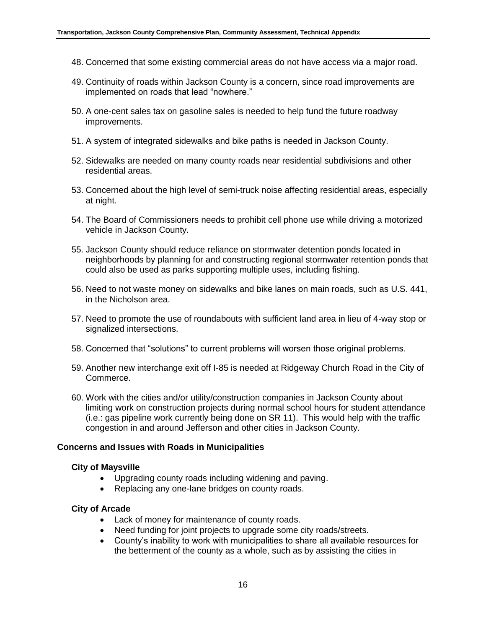- 48. Concerned that some existing commercial areas do not have access via a major road.
- 49. Continuity of roads within Jackson County is a concern, since road improvements are implemented on roads that lead "nowhere."
- 50. A one-cent sales tax on gasoline sales is needed to help fund the future roadway improvements.
- 51. A system of integrated sidewalks and bike paths is needed in Jackson County.
- 52. Sidewalks are needed on many county roads near residential subdivisions and other residential areas.
- 53. Concerned about the high level of semi-truck noise affecting residential areas, especially at night.
- 54. The Board of Commissioners needs to prohibit cell phone use while driving a motorized vehicle in Jackson County.
- 55. Jackson County should reduce reliance on stormwater detention ponds located in neighborhoods by planning for and constructing regional stormwater retention ponds that could also be used as parks supporting multiple uses, including fishing.
- 56. Need to not waste money on sidewalks and bike lanes on main roads, such as U.S. 441, in the Nicholson area.
- 57. Need to promote the use of roundabouts with sufficient land area in lieu of 4-way stop or signalized intersections.
- 58. Concerned that "solutions" to current problems will worsen those original problems.
- 59. Another new interchange exit off I-85 is needed at Ridgeway Church Road in the City of Commerce.
- 60. Work with the cities and/or utility/construction companies in Jackson County about limiting work on construction projects during normal school hours for student attendance (i.e.: gas pipeline work currently being done on SR 11). This would help with the traffic congestion in and around Jefferson and other cities in Jackson County.

#### **Concerns and Issues with Roads in Municipalities**

#### **City of Maysville**

- Upgrading county roads including widening and paving.
- Replacing any one-lane bridges on county roads.

#### **City of Arcade**

- Lack of money for maintenance of county roads.
- Need funding for joint projects to upgrade some city roads/streets.
- County's inability to work with municipalities to share all available resources for the betterment of the county as a whole, such as by assisting the cities in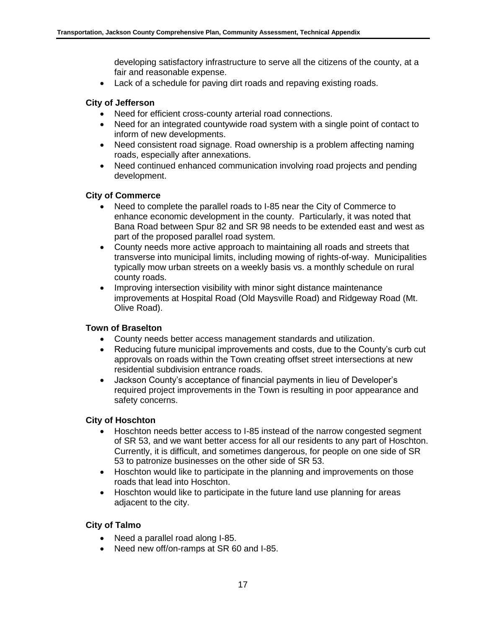developing satisfactory infrastructure to serve all the citizens of the county, at a fair and reasonable expense.

Lack of a schedule for paving dirt roads and repaving existing roads.

# **City of Jefferson**

- Need for efficient cross-county arterial road connections.
- Need for an integrated countywide road system with a single point of contact to inform of new developments.
- Need consistent road signage. Road ownership is a problem affecting naming roads, especially after annexations.
- Need continued enhanced communication involving road projects and pending development.

## **City of Commerce**

- Need to complete the parallel roads to I-85 near the City of Commerce to enhance economic development in the county. Particularly, it was noted that Bana Road between Spur 82 and SR 98 needs to be extended east and west as part of the proposed parallel road system.
- County needs more active approach to maintaining all roads and streets that transverse into municipal limits, including mowing of rights-of-way. Municipalities typically mow urban streets on a weekly basis vs. a monthly schedule on rural county roads.
- Improving intersection visibility with minor sight distance maintenance improvements at Hospital Road (Old Maysville Road) and Ridgeway Road (Mt. Olive Road).

## **Town of Braselton**

- County needs better access management standards and utilization.
- Reducing future municipal improvements and costs, due to the County's curb cut approvals on roads within the Town creating offset street intersections at new residential subdivision entrance roads.
- Jackson County's acceptance of financial payments in lieu of Developer's required project improvements in the Town is resulting in poor appearance and safety concerns.

#### **City of Hoschton**

- Hoschton needs better access to I-85 instead of the narrow congested segment of SR 53, and we want better access for all our residents to any part of Hoschton. Currently, it is difficult, and sometimes dangerous, for people on one side of SR 53 to patronize businesses on the other side of SR 53.
- Hoschton would like to participate in the planning and improvements on those roads that lead into Hoschton.
- Hoschton would like to participate in the future land use planning for areas adjacent to the city.

## **City of Talmo**

- Need a parallel road along I-85.
- Need new off/on-ramps at SR 60 and I-85.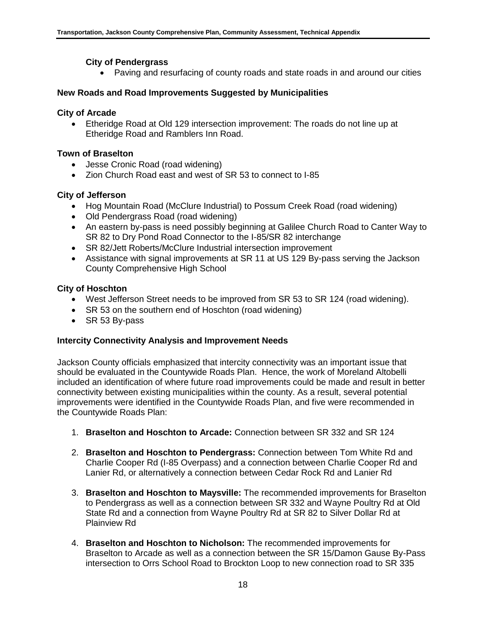# **City of Pendergrass**

Paving and resurfacing of county roads and state roads in and around our cities

# **New Roads and Road Improvements Suggested by Municipalities**

# **City of Arcade**

 Etheridge Road at Old 129 intersection improvement: The roads do not line up at Etheridge Road and Ramblers Inn Road.

# **Town of Braselton**

- Jesse Cronic Road (road widening)
- Zion Church Road east and west of SR 53 to connect to I-85

# **City of Jefferson**

- Hog Mountain Road (McClure Industrial) to Possum Creek Road (road widening)
- Old Pendergrass Road (road widening)
- An eastern by-pass is need possibly beginning at Galilee Church Road to Canter Way to SR 82 to Dry Pond Road Connector to the I-85/SR 82 interchange
- SR 82/Jett Roberts/McClure Industrial intersection improvement
- Assistance with signal improvements at SR 11 at US 129 By-pass serving the Jackson County Comprehensive High School

## **City of Hoschton**

- West Jefferson Street needs to be improved from SR 53 to SR 124 (road widening).
- SR 53 on the southern end of Hoschton (road widening)
- SR 53 By-pass

## **Intercity Connectivity Analysis and Improvement Needs**

Jackson County officials emphasized that intercity connectivity was an important issue that should be evaluated in the Countywide Roads Plan. Hence, the work of Moreland Altobelli included an identification of where future road improvements could be made and result in better connectivity between existing municipalities within the county. As a result, several potential improvements were identified in the Countywide Roads Plan, and five were recommended in the Countywide Roads Plan:

- 1. **Braselton and Hoschton to Arcade:** Connection between SR 332 and SR 124
- 2. **Braselton and Hoschton to Pendergrass:** Connection between Tom White Rd and Charlie Cooper Rd (I-85 Overpass) and a connection between Charlie Cooper Rd and Lanier Rd, or alternatively a connection between Cedar Rock Rd and Lanier Rd
- 3. **Braselton and Hoschton to Maysville:** The recommended improvements for Braselton to Pendergrass as well as a connection between SR 332 and Wayne Poultry Rd at Old State Rd and a connection from Wayne Poultry Rd at SR 82 to Silver Dollar Rd at Plainview Rd
- 4. **Braselton and Hoschton to Nicholson:** The recommended improvements for Braselton to Arcade as well as a connection between the SR 15/Damon Gause By-Pass intersection to Orrs School Road to Brockton Loop to new connection road to SR 335